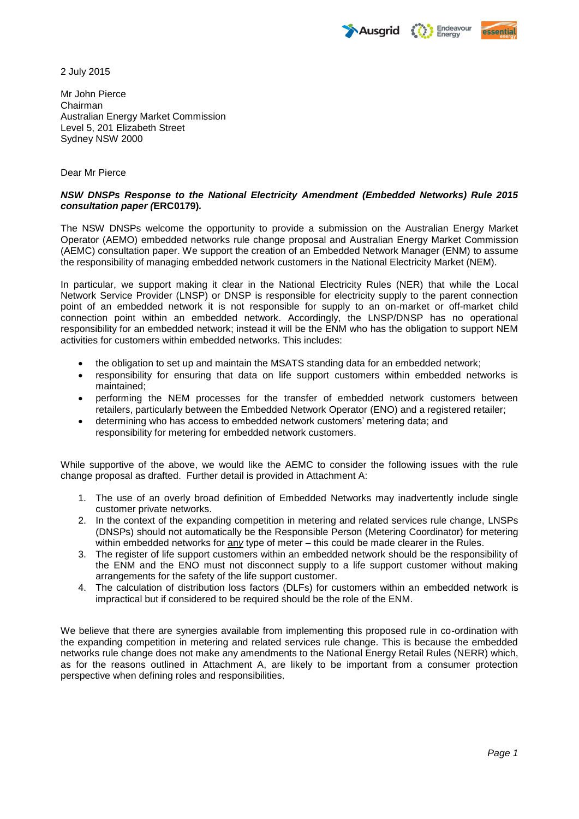Endeavour<br>Energy **Ausarid** 



2 July 2015

Mr John Pierce Chairman Australian Energy Market Commission Level 5, 201 Elizabeth Street Sydney NSW 2000

# Dear Mr Pierce

# *NSW DNSPs Response to the National Electricity Amendment (Embedded Networks) Rule 2015 consultation paper (***ERC0179)***.*

The NSW DNSPs welcome the opportunity to provide a submission on the Australian Energy Market Operator (AEMO) embedded networks rule change proposal and Australian Energy Market Commission (AEMC) consultation paper. We support the creation of an Embedded Network Manager (ENM) to assume the responsibility of managing embedded network customers in the National Electricity Market (NEM).

In particular, we support making it clear in the National Electricity Rules (NER) that while the Local Network Service Provider (LNSP) or DNSP is responsible for electricity supply to the parent connection point of an embedded network it is not responsible for supply to an on-market or off-market child connection point within an embedded network. Accordingly, the LNSP/DNSP has no operational responsibility for an embedded network; instead it will be the ENM who has the obligation to support NEM activities for customers within embedded networks. This includes:

- the obligation to set up and maintain the MSATS standing data for an embedded network;
- responsibility for ensuring that data on life support customers within embedded networks is maintained;
- performing the NEM processes for the transfer of embedded network customers between retailers, particularly between the Embedded Network Operator (ENO) and a registered retailer;
- determining who has access to embedded network customers' metering data; and responsibility for metering for embedded network customers.

While supportive of the above, we would like the AEMC to consider the following issues with the rule change proposal as drafted. Further detail is provided in Attachment A:

- 1. The use of an overly broad definition of Embedded Networks may inadvertently include single customer private networks.
- 2. In the context of the expanding competition in metering and related services rule change, LNSPs (DNSPs) should not automatically be the Responsible Person (Metering Coordinator) for metering within embedded networks for any type of meter – this could be made clearer in the Rules.
- 3. The register of life support customers within an embedded network should be the responsibility of the ENM and the ENO must not disconnect supply to a life support customer without making arrangements for the safety of the life support customer.
- 4. The calculation of distribution loss factors (DLFs) for customers within an embedded network is impractical but if considered to be required should be the role of the ENM.

We believe that there are synergies available from implementing this proposed rule in co-ordination with the expanding competition in metering and related services rule change. This is because the embedded networks rule change does not make any amendments to the National Energy Retail Rules (NERR) which, as for the reasons outlined in Attachment A, are likely to be important from a consumer protection perspective when defining roles and responsibilities.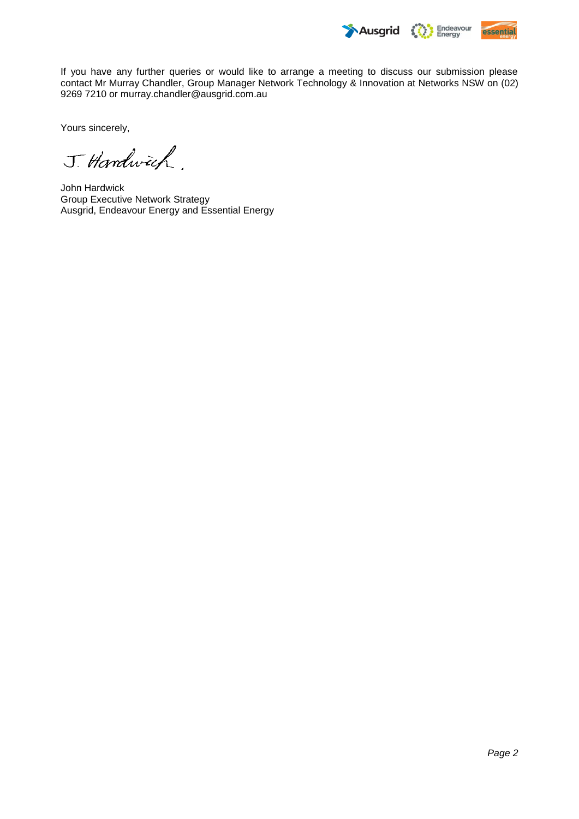

If you have any further queries or would like to arrange a meeting to discuss our submission please contact Mr Murray Chandler, Group Manager Network Technology & Innovation at Networks NSW on (02) 9269 7210 or [murray.chandler@ausgrid.com.au](mailto:murray.chandler@ausgrid.com.au)

Yours sincerely,

J. Handwich

John Hardwick Group Executive Network Strategy Ausgrid, Endeavour Energy and Essential Energy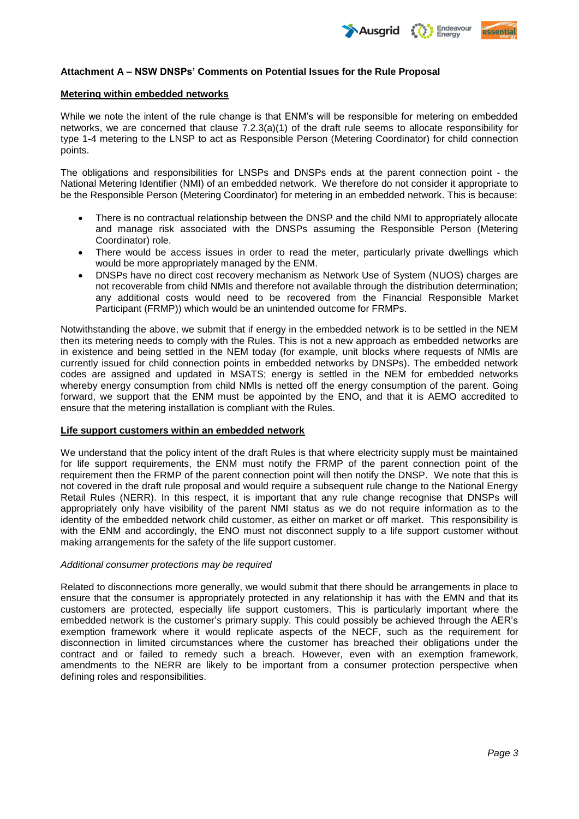

# **Attachment A – NSW DNSPs' Comments on Potential Issues for the Rule Proposal**

#### **Metering within embedded networks**

While we note the intent of the rule change is that ENM's will be responsible for metering on embedded networks, we are concerned that clause 7.2.3(a)(1) of the draft rule seems to allocate responsibility for type 1-4 metering to the LNSP to act as Responsible Person (Metering Coordinator) for child connection points.

The obligations and responsibilities for LNSPs and DNSPs ends at the parent connection point - the National Metering Identifier (NMI) of an embedded network. We therefore do not consider it appropriate to be the Responsible Person (Metering Coordinator) for metering in an embedded network. This is because:

- There is no contractual relationship between the DNSP and the child NMI to appropriately allocate and manage risk associated with the DNSPs assuming the Responsible Person (Metering Coordinator) role.
- There would be access issues in order to read the meter, particularly private dwellings which would be more appropriately managed by the ENM.
- DNSPs have no direct cost recovery mechanism as Network Use of System (NUOS) charges are not recoverable from child NMIs and therefore not available through the distribution determination; any additional costs would need to be recovered from the Financial Responsible Market Participant (FRMP)) which would be an unintended outcome for FRMPs.

Notwithstanding the above, we submit that if energy in the embedded network is to be settled in the NEM then its metering needs to comply with the Rules. This is not a new approach as embedded networks are in existence and being settled in the NEM today (for example, unit blocks where requests of NMIs are currently issued for child connection points in embedded networks by DNSPs). The embedded network codes are assigned and updated in MSATS; energy is settled in the NEM for embedded networks whereby energy consumption from child NMIs is netted off the energy consumption of the parent. Going forward, we support that the ENM must be appointed by the ENO, and that it is AEMO accredited to ensure that the metering installation is compliant with the Rules.

### **Life support customers within an embedded network**

We understand that the policy intent of the draft Rules is that where electricity supply must be maintained for life support requirements, the ENM must notify the FRMP of the parent connection point of the requirement then the FRMP of the parent connection point will then notify the DNSP. We note that this is not covered in the draft rule proposal and would require a subsequent rule change to the National Energy Retail Rules (NERR). In this respect, it is important that any rule change recognise that DNSPs will appropriately only have visibility of the parent NMI status as we do not require information as to the identity of the embedded network child customer, as either on market or off market. This responsibility is with the ENM and accordingly, the ENO must not disconnect supply to a life support customer without making arrangements for the safety of the life support customer.

### *Additional consumer protections may be required*

Related to disconnections more generally, we would submit that there should be arrangements in place to ensure that the consumer is appropriately protected in any relationship it has with the EMN and that its customers are protected, especially life support customers. This is particularly important where the embedded network is the customer's primary supply. This could possibly be achieved through the AER's exemption framework where it would replicate aspects of the NECF, such as the requirement for disconnection in limited circumstances where the customer has breached their obligations under the contract and or failed to remedy such a breach. However, even with an exemption framework, amendments to the NERR are likely to be important from a consumer protection perspective when defining roles and responsibilities.